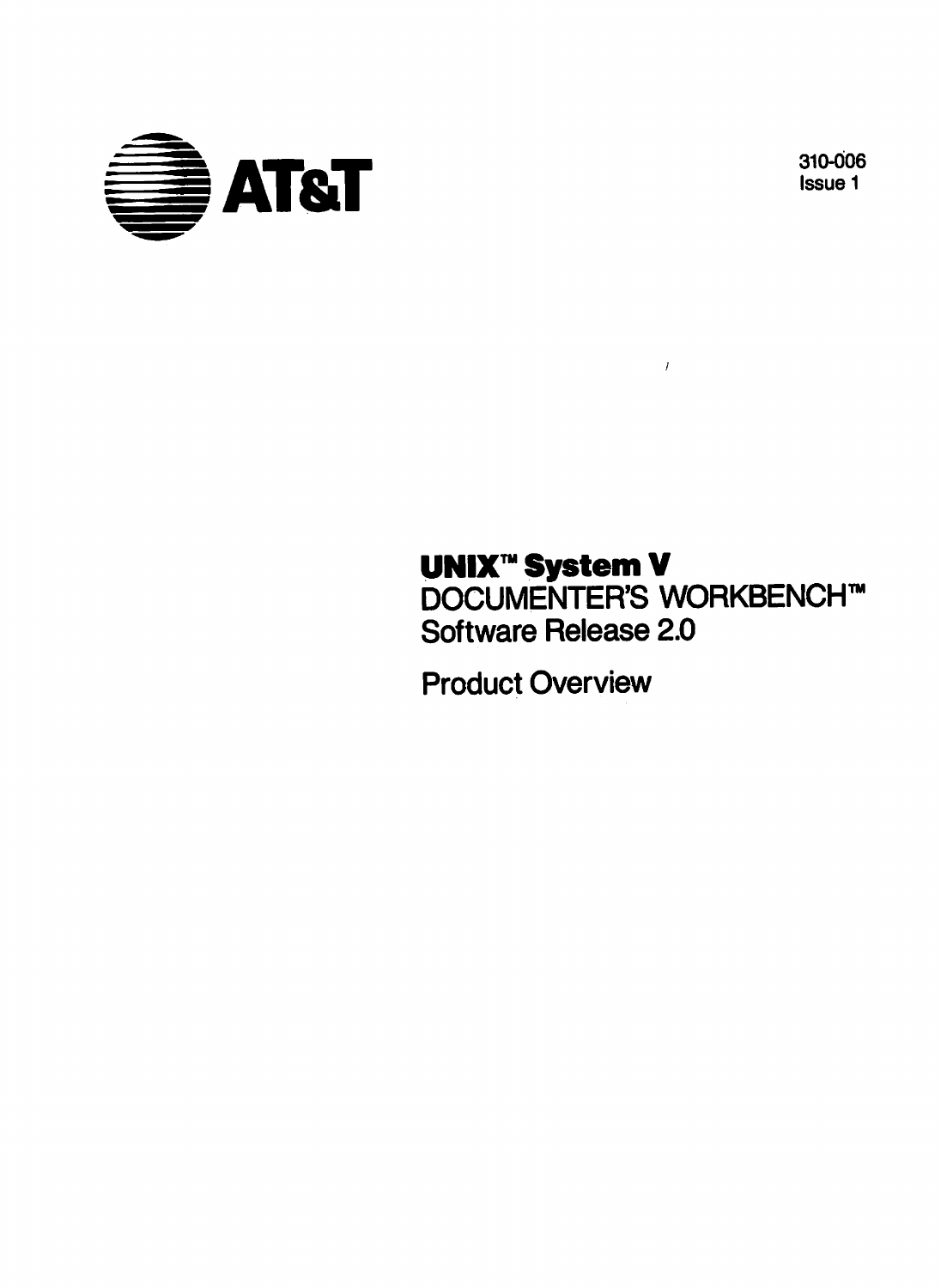

Issue 1

# **UNIXlII System V**

DOCUMENTER'S WORKBENCH™ Software Release 2.0

 $\bar{I}$ 

Product Overview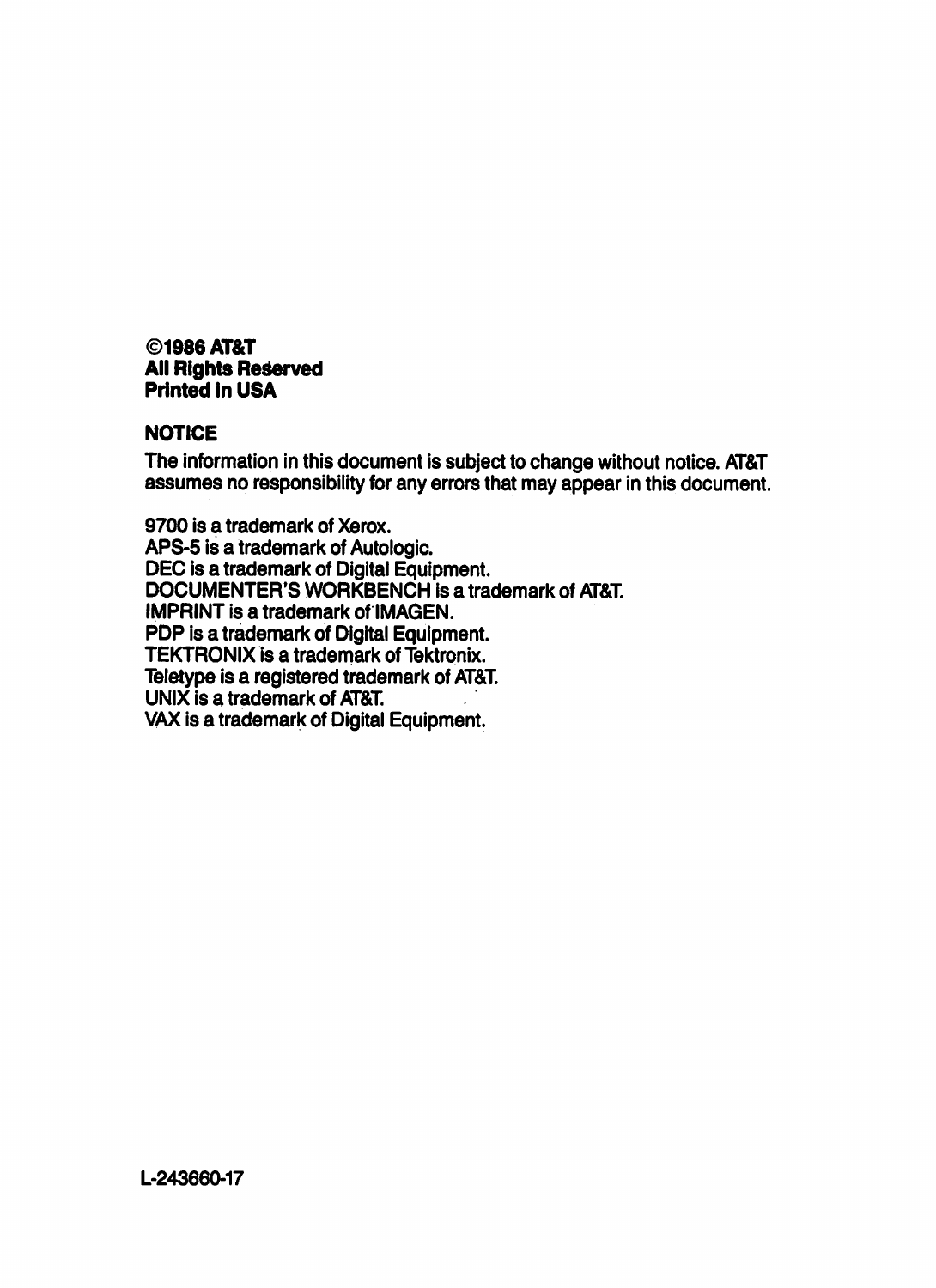#### ©1986 AT&T All Rights Reserved Printed In USA

#### **NOTICE**

The information in this document is subject to change without notice. AT&T assumes no responsibility for any errors that may appear in this document.

9700 is a trademark of Xerox. APS-S is atrademark of Autologic. DEC is a trademark of Digital Equipment. DOCUMENTER'S WORKBENCH is atrademark of AT&T: IMPRINT is a trademark of IMAGEN. PDP is atrademark of Digital Equipment. TEKTRONIX is a trademark of Tektronix. Teletype is a registered trademark of AT&T: UNIX is a trademark of AT&T. VAX is a trademark of Digital Equipment.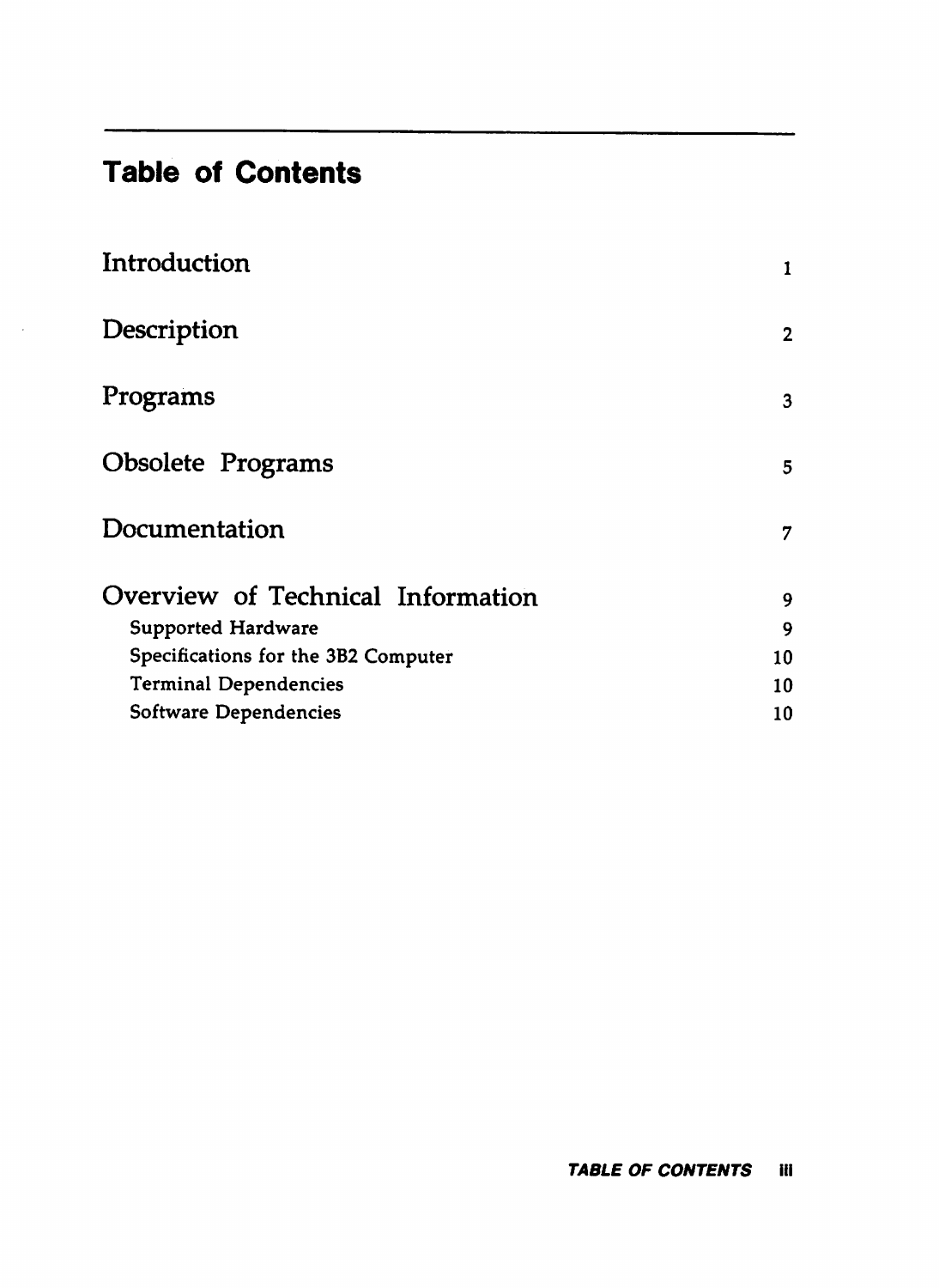# **Table of Contents**

 $\mathcal{A}$ 

| Introduction                        | 1  |
|-------------------------------------|----|
| Description                         | 2  |
| Programs                            | 3  |
| Obsolete Programs                   | 5  |
| Documentation                       | 7  |
| Overview of Technical Information   | 9  |
| <b>Supported Hardware</b>           | 9  |
| Specifications for the 3B2 Computer | 10 |
| <b>Terminal Dependencies</b>        | 10 |
| Software Dependencies               | 10 |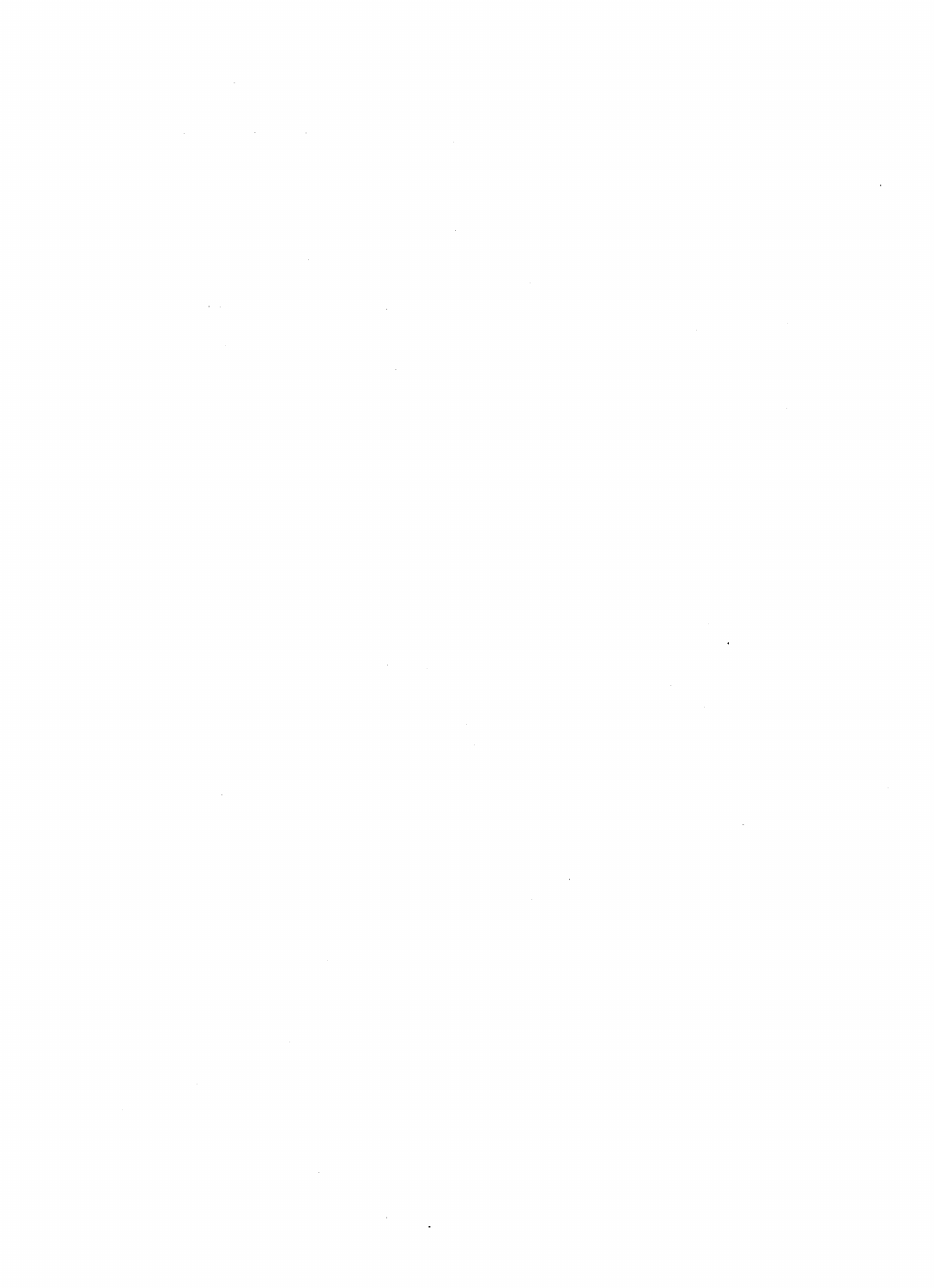$\mathcal{L}_{\text{max}}$  and  $\mathcal{L}_{\text{max}}$  $\label{eq:2.1} \frac{1}{\sqrt{2}}\int_{\mathbb{R}^3}\frac{1}{\sqrt{2}}\left(\frac{1}{\sqrt{2}}\int_{\mathbb{R}^3}\frac{1}{\sqrt{2}}\left(\frac{1}{\sqrt{2}}\int_{\mathbb{R}^3}\frac{1}{\sqrt{2}}\right)\frac{1}{\sqrt{2}}\right)\frac{1}{\sqrt{2}}\,d\mu$  $\label{eq:2.1} \frac{1}{\sqrt{2}}\left(\frac{1}{\sqrt{2}}\right)^{2} \left(\frac{1}{\sqrt{2}}\right)^{2} \left(\frac{1}{\sqrt{2}}\right)^{2} \left(\frac{1}{\sqrt{2}}\right)^{2} \left(\frac{1}{\sqrt{2}}\right)^{2} \left(\frac{1}{\sqrt{2}}\right)^{2} \left(\frac{1}{\sqrt{2}}\right)^{2} \left(\frac{1}{\sqrt{2}}\right)^{2} \left(\frac{1}{\sqrt{2}}\right)^{2} \left(\frac{1}{\sqrt{2}}\right)^{2} \left(\frac{1}{\sqrt{2}}\right)^{2} \left(\$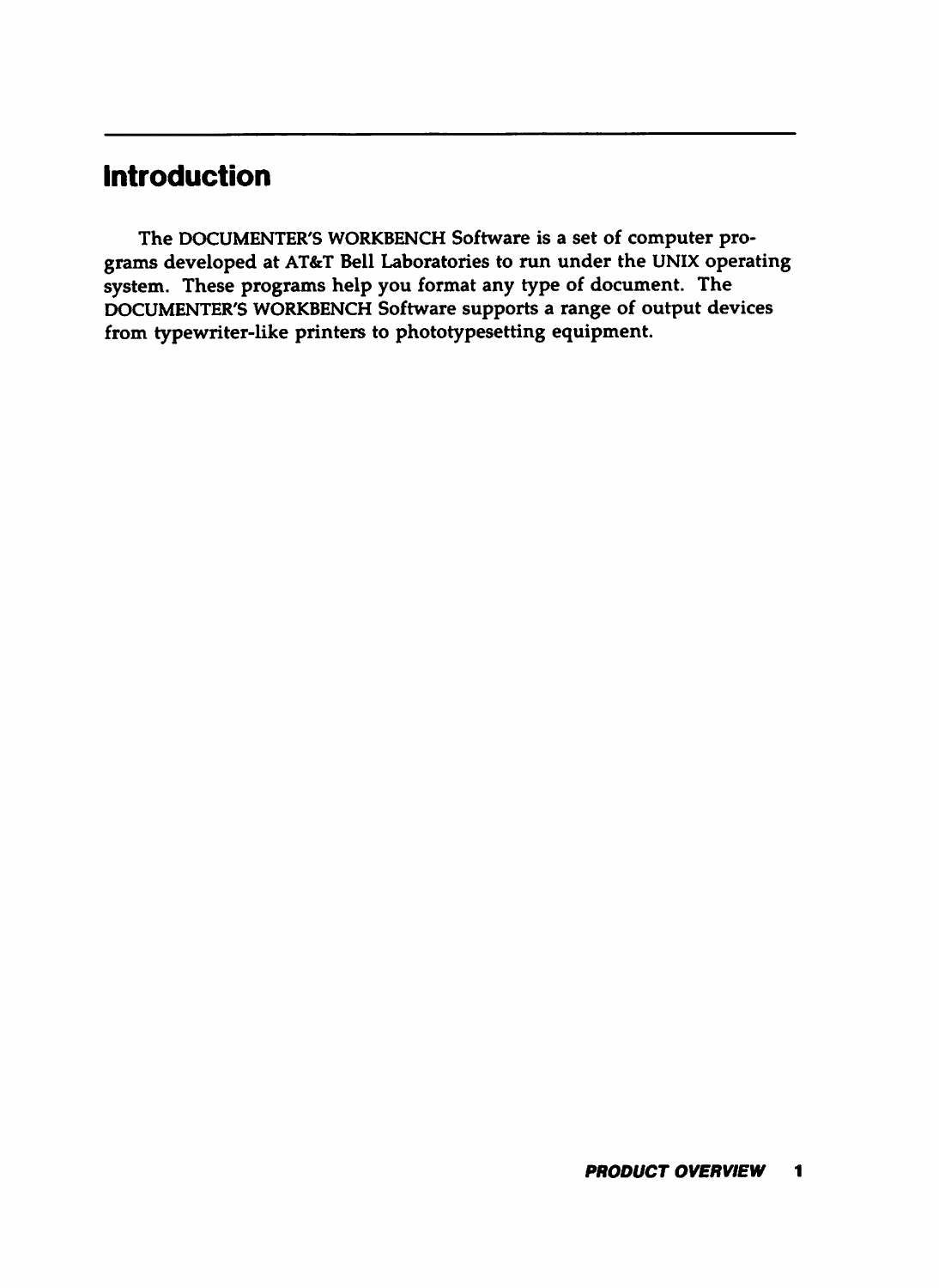## **Introduction**

The DOCUMENTER'S WORKBENCH Software is a set of computer programs developed at AT&T Bell Laboratories to run under the UNIX operating system. These programs help you format any type of document. The DOCUMENTER'S WORKBENCH Software supports a range of output devices from typewriter-like printers to phototypesetting equipment.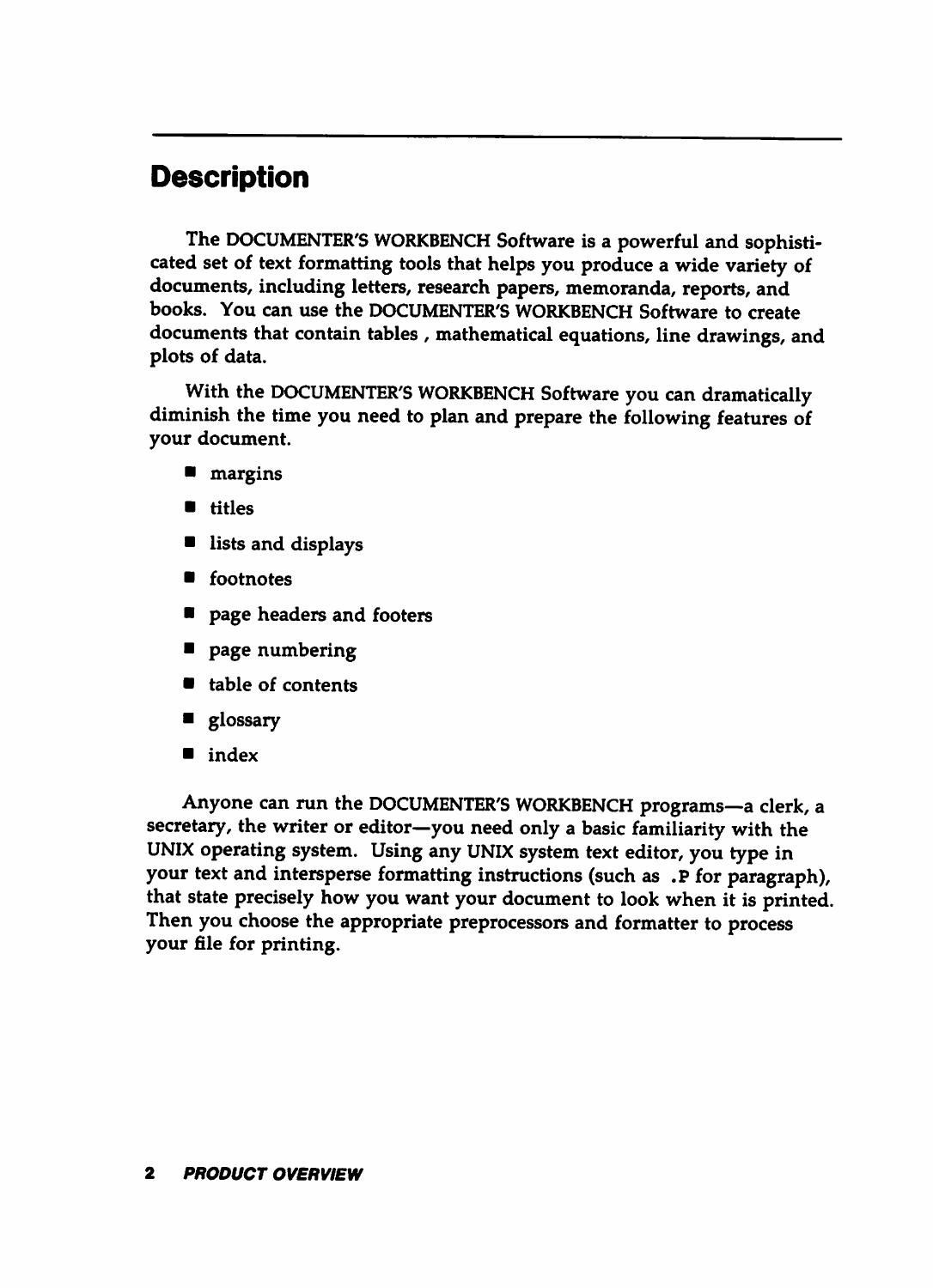## **Description**

The DOCUMENTER'S WORKBENCH Software is a powerful and sophisticated set of text formatting tools that helps you produce a wide variety of documents, including letters, research papers, memoranda, reports, and books. You can use the DOCUMENTER'S WORKBENCH Software to create documents that contain tables, mathematical equations, line drawings, and plots of data.

With the DOCUMENTER'S WORKBENCH Software you can dramatically diminish the time you need to plan and prepare the following features of your document.

- $\blacksquare$  margins
- **u** titles
- **u.** lists and displays
- $\blacksquare$  footnotes
- $\blacksquare$  page headers and footers
- page numbering
- **table of contents**
- glossary
- $\blacksquare$  index

Anyone can run the DOCUMENTER'S WORKBENCH programs-a clerk, a secretary, the writer or editor-you need only a basic familiarity with the UNIX operating system. Using any UNIX system text editor, you type in your text and intersperse formatting instructions (such as .P for paragraph), that state precisely how you want your document to look when it is printed. Then you choose the appropriate preprocessors and formatter to process your file for printing.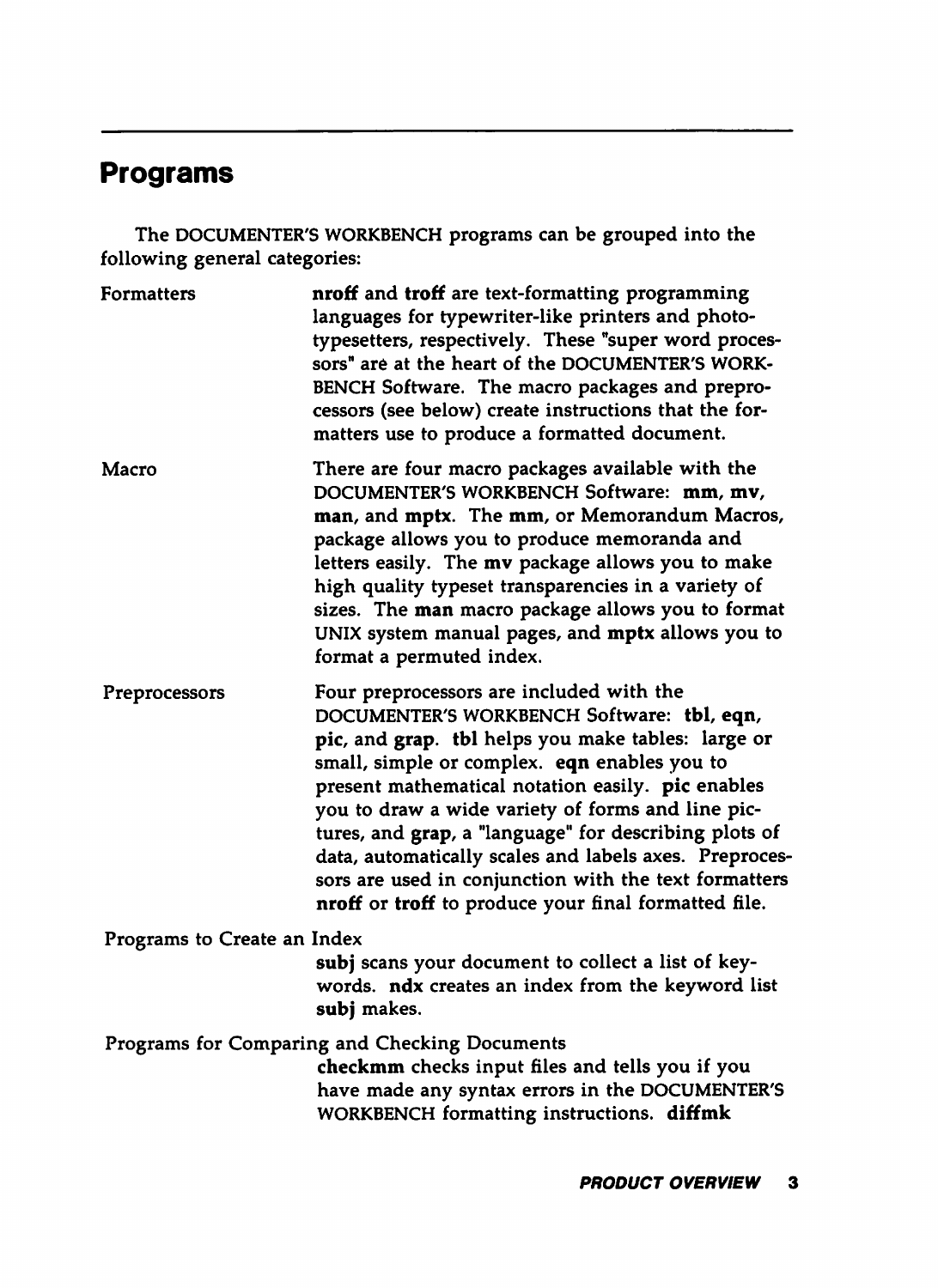# **Programs**

The DOCUMENTER'S WORKBENCH programs can be grouped into the following general categories:

| Formatters                  | nroff and troff are text-formatting programming<br>languages for typewriter-like printers and photo-<br>typesetters, respectively. These "super word proces-<br>sors" are at the heart of the DOCUMENTER'S WORK-<br>BENCH Software. The macro packages and prepro-<br>cessors (see below) create instructions that the for-<br>matters use to produce a formatted document.                                                                                                                                                                |
|-----------------------------|--------------------------------------------------------------------------------------------------------------------------------------------------------------------------------------------------------------------------------------------------------------------------------------------------------------------------------------------------------------------------------------------------------------------------------------------------------------------------------------------------------------------------------------------|
| Macro                       | There are four macro packages available with the<br>DOCUMENTER'S WORKBENCH Software: mm, mv,<br>man, and mptx. The mm, or Memorandum Macros,<br>package allows you to produce memoranda and<br>letters easily. The mv package allows you to make<br>high quality typeset transparencies in a variety of<br>sizes. The man macro package allows you to format<br>UNIX system manual pages, and mptx allows you to<br>format a permuted index.                                                                                               |
| Preprocessors               | Four preprocessors are included with the<br>DOCUMENTER'S WORKBENCH Software: tbl, eqn,<br>pic, and grap. tbl helps you make tables: large or<br>small, simple or complex. eqn enables you to<br>present mathematical notation easily. pic enables<br>you to draw a wide variety of forms and line pic-<br>tures, and grap, a "language" for describing plots of<br>data, automatically scales and labels axes. Preproces-<br>sors are used in conjunction with the text formatters<br>nroff or troff to produce your final formatted file. |
| Programs to Create an Index | subj scans your document to collect a list of key-<br>words. ndx creates an index from the keyword list<br>subj makes.                                                                                                                                                                                                                                                                                                                                                                                                                     |
|                             | Programs for Comparing and Checking Documents<br>checkmm checks input files and tells you if you<br>have made any syntax errors in the DOCUMENTER'S<br>WORKBENCH formatting instructions. diffmk                                                                                                                                                                                                                                                                                                                                           |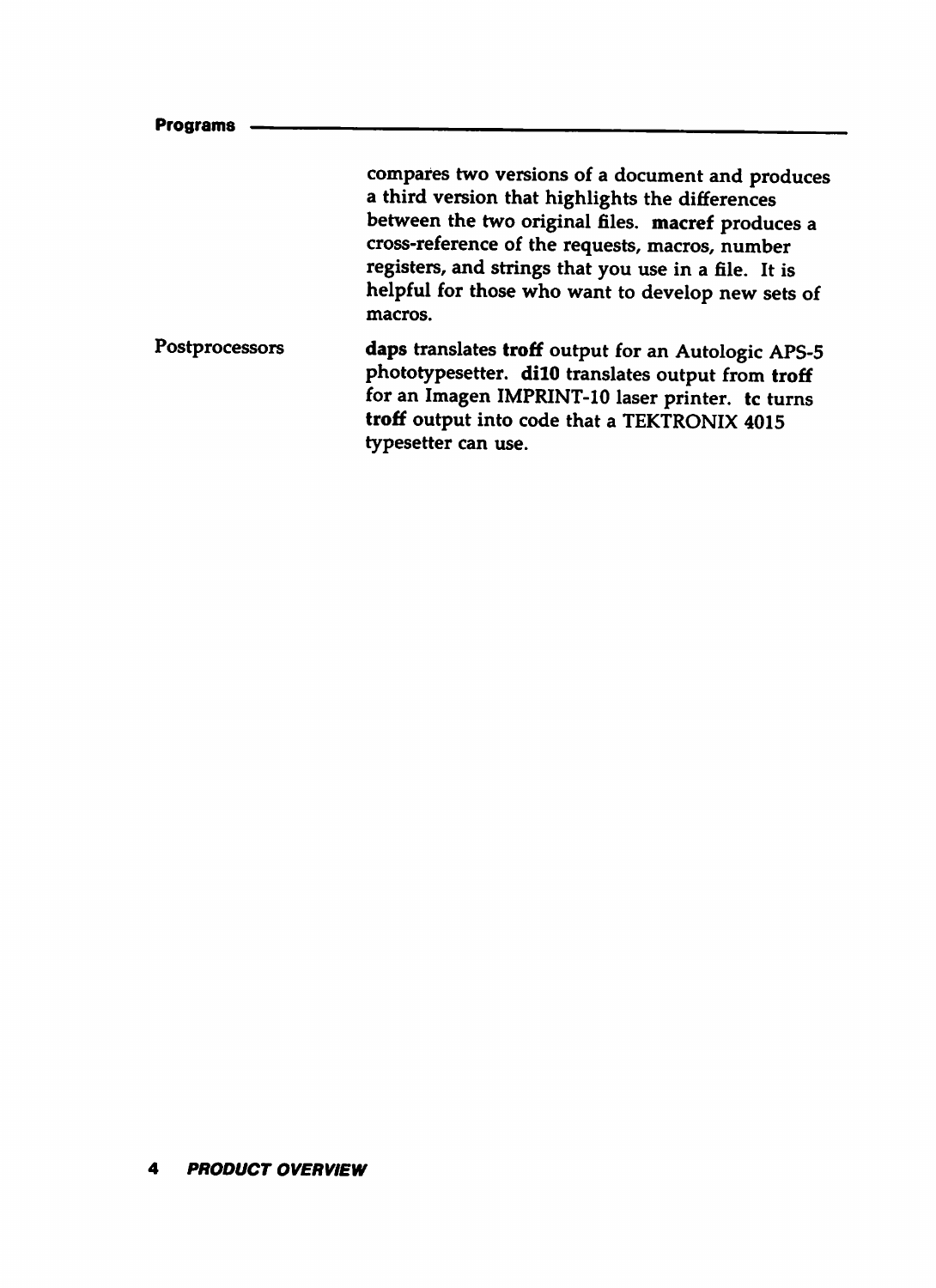| <b>Programs</b> |                                                                                                                                                                                                                                                                                                                                     |
|-----------------|-------------------------------------------------------------------------------------------------------------------------------------------------------------------------------------------------------------------------------------------------------------------------------------------------------------------------------------|
|                 | compares two versions of a document and produces<br>a third version that highlights the differences<br>between the two original files. macref produces a<br>cross-reference of the requests, macros, number<br>registers, and strings that you use in a file. It is<br>helpful for those who want to develop new sets of<br>macros. |
| Postprocessors  | daps translates troff output for an Autologic APS-5<br>phototypesetter. di10 translates output from troff<br>for an Imagen IMPRINT-10 laser printer. to turns<br>troff output into code that a TEKTRONIX 4015<br>typesetter can use.                                                                                                |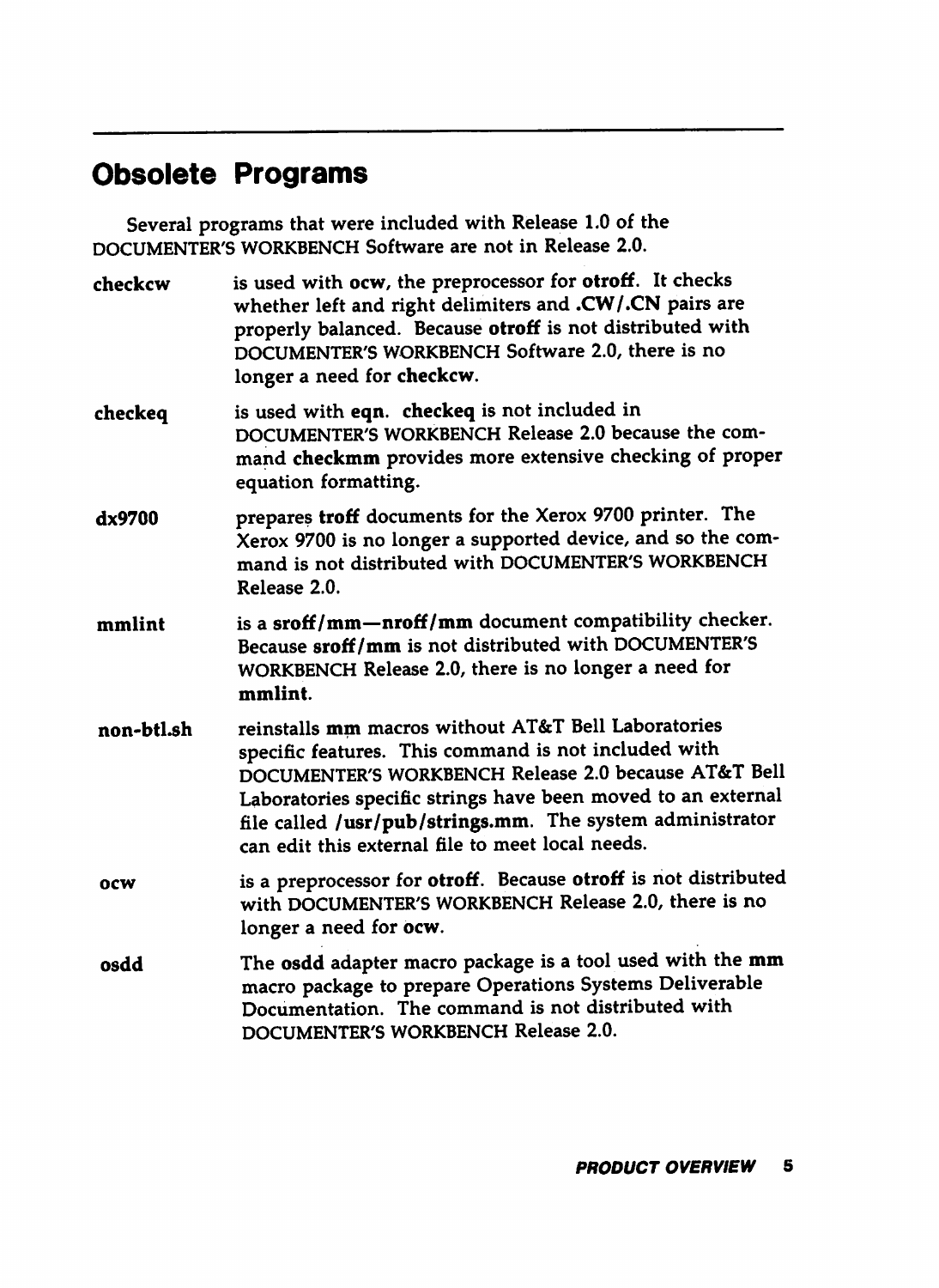# **Obsolete Programs**

Several programs that were included with Release 1.0 of the DOCUMENTER'S WORKBENCH Software are not in Release 2.0.

| checkcw    | is used with ocw, the preprocessor for otroff. It checks<br>whether left and right delimiters and .CW/.CN pairs are<br>properly balanced. Because otroff is not distributed with<br>DOCUMENTER'S WORKBENCH Software 2.0, there is no<br>longer a need for checkcw.                                                                                   |
|------------|------------------------------------------------------------------------------------------------------------------------------------------------------------------------------------------------------------------------------------------------------------------------------------------------------------------------------------------------------|
| checkeq    | is used with eqn. checkeq is not included in<br>DOCUMENTER'S WORKBENCH Release 2.0 because the com-<br>mand checkmm provides more extensive checking of proper<br>equation formatting.                                                                                                                                                               |
| dx9700     | prepares troff documents for the Xerox 9700 printer. The<br>Xerox 9700 is no longer a supported device, and so the com-<br>mand is not distributed with DOCUMENTER'S WORKBENCH<br>Release 2.0.                                                                                                                                                       |
| mmlint     | is a sroff/mm-nroff/mm document compatibility checker.<br>Because sroff/mm is not distributed with DOCUMENTER'S<br>WORKBENCH Release 2.0, there is no longer a need for<br>mmlint.                                                                                                                                                                   |
| non-btl.sh | reinstalls mm macros without AT&T Bell Laboratories<br>specific features. This command is not included with<br>DOCUMENTER'S WORKBENCH Release 2.0 because AT&T Bell<br>Laboratories specific strings have been moved to an external<br>file called /usr/pub/strings.mm. The system administrator<br>can edit this external file to meet local needs. |
| ocw        | is a preprocessor for otroff. Because otroff is not distributed<br>with DOCUMENTER'S WORKBENCH Release 2.0, there is no<br>longer a need for ocw.                                                                                                                                                                                                    |
| osdd       | The osdd adapter macro package is a tool used with the mm<br>macro package to prepare Operations Systems Deliverable<br>Documentation. The command is not distributed with<br>DOCUMENTER'S WORKBENCH Release 2.0.                                                                                                                                    |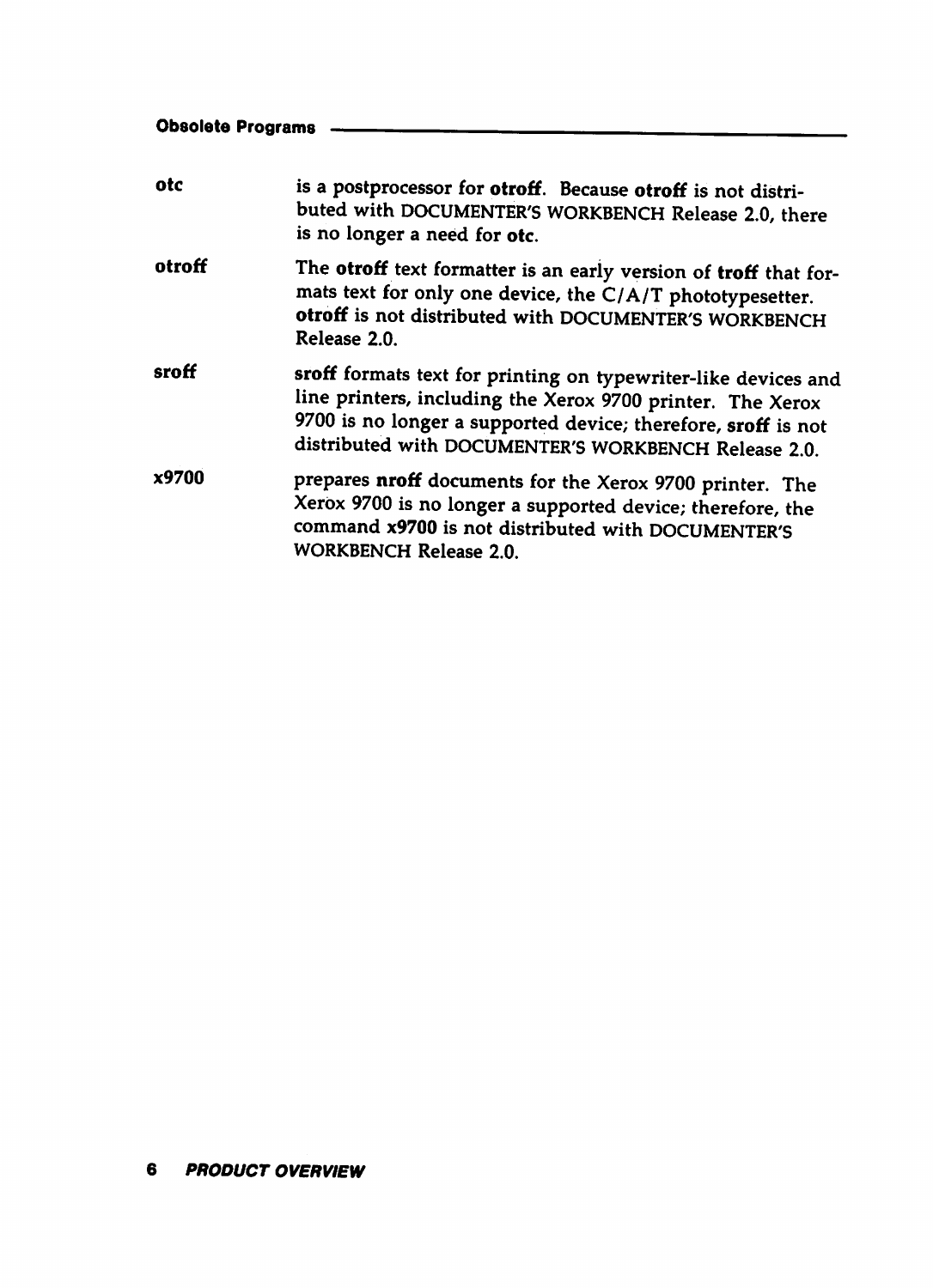| otc    | is a postprocessor for otroff. Because otroff is not distri-<br>buted with DOCUMENTER'S WORKBENCH Release 2.0, there<br>is no longer a need for otc.                                                                                                  |
|--------|-------------------------------------------------------------------------------------------------------------------------------------------------------------------------------------------------------------------------------------------------------|
| otroff | The otroff text formatter is an early version of troff that for-<br>mats text for only one device, the C/A/T phototypesetter.<br>otroff is not distributed with DOCUMENTER'S WORKBENCH<br>Release 2.0.                                                |
| sroff  | sroff formats text for printing on typewriter-like devices and<br>line printers, including the Xerox 9700 printer. The Xerox<br>9700 is no longer a supported device; therefore, sroff is not<br>distributed with DOCUMENTER'S WORKBENCH Release 2.0. |
| x9700  | prepares nroff documents for the Xerox 9700 printer. The<br>Xerox 9700 is no longer a supported device; therefore, the<br>command x9700 is not distributed with DOCUMENTER'S<br><b>WORKBENCH Release 2.0.</b>                                         |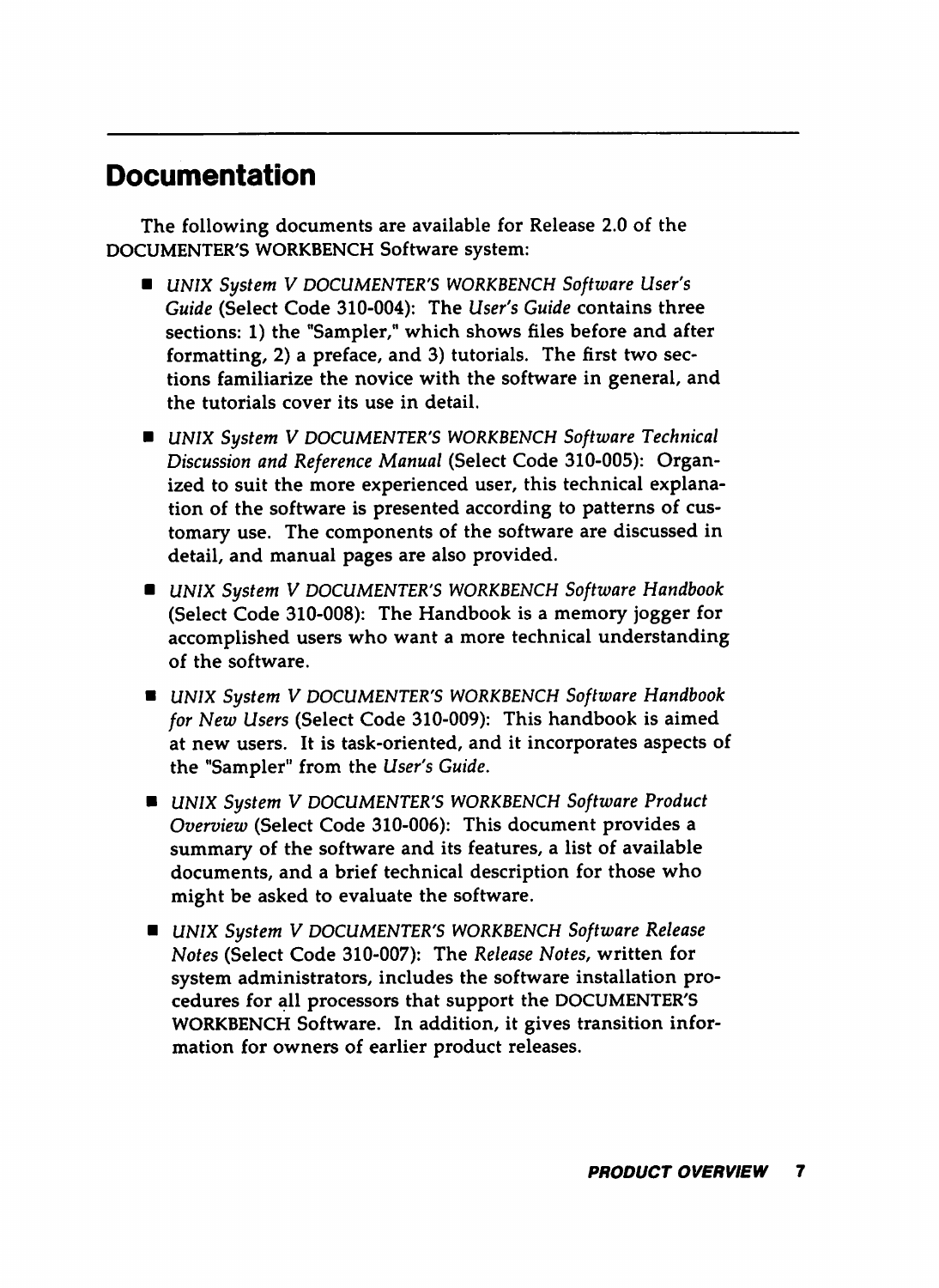## **Documentation**

The following documents are available for Release 2.0 of the DOCUMENTER'S WORKBENCH Software system:

- *• UNIX System V DOCUMENTER'S WORKBENCH Software User's Guide* (Select Code 310-004): The *User's Guide* contains three sections: 1) the "Sampler," which shows files before and after formatting, 2) a preface, and 3) tutorials. The first two sections familiarize the novice with the software in general, and the tutorials cover its use in detail.
- *• UNIX System V DOCUMENTER'S WORKBENCH Software Technical Discussion and Reference Manual* (Select Code 310-005): Organized to suit the more experienced user, this technical explanation of the software is presented according to patterns of customary use. The components of the software are discussed in detail, and manual pages are also provided.
- *• UNIX System V DOCUMENTER'S WORKBENCH Software Handbook* (Select Code 310-008): The Handbook is a memory jogger for accomplished users who want a more technical understanding of the software.
- *• UNIX System V DOCUMENTER'S WORKBENCH Software Handbook for New Users* (Select Code 310-009): This handbook is aimed at new users. It is task-oriented, and it incorporates aspects of the "Sampler" from the *User's Guide.*
- *• UNIX System V DOCUMENTER'S WORKBENCH Software Product Overview* (Select Code 310-006): This document provides a summary of the software and its features, a list of available documents, and a brief technical description for those who might be asked to evaluate the software.
- *• UNIX System V DOCUMENTER'S WORKBENCH Software Release Notes* (Select Code 310-007): The *Release Notes,* written for system administrators, includes the software installation procedures for all processors that support the DOCUMENTER'S WORKBENCH Software. In addition, it gives transition information for owners of earlier product releases.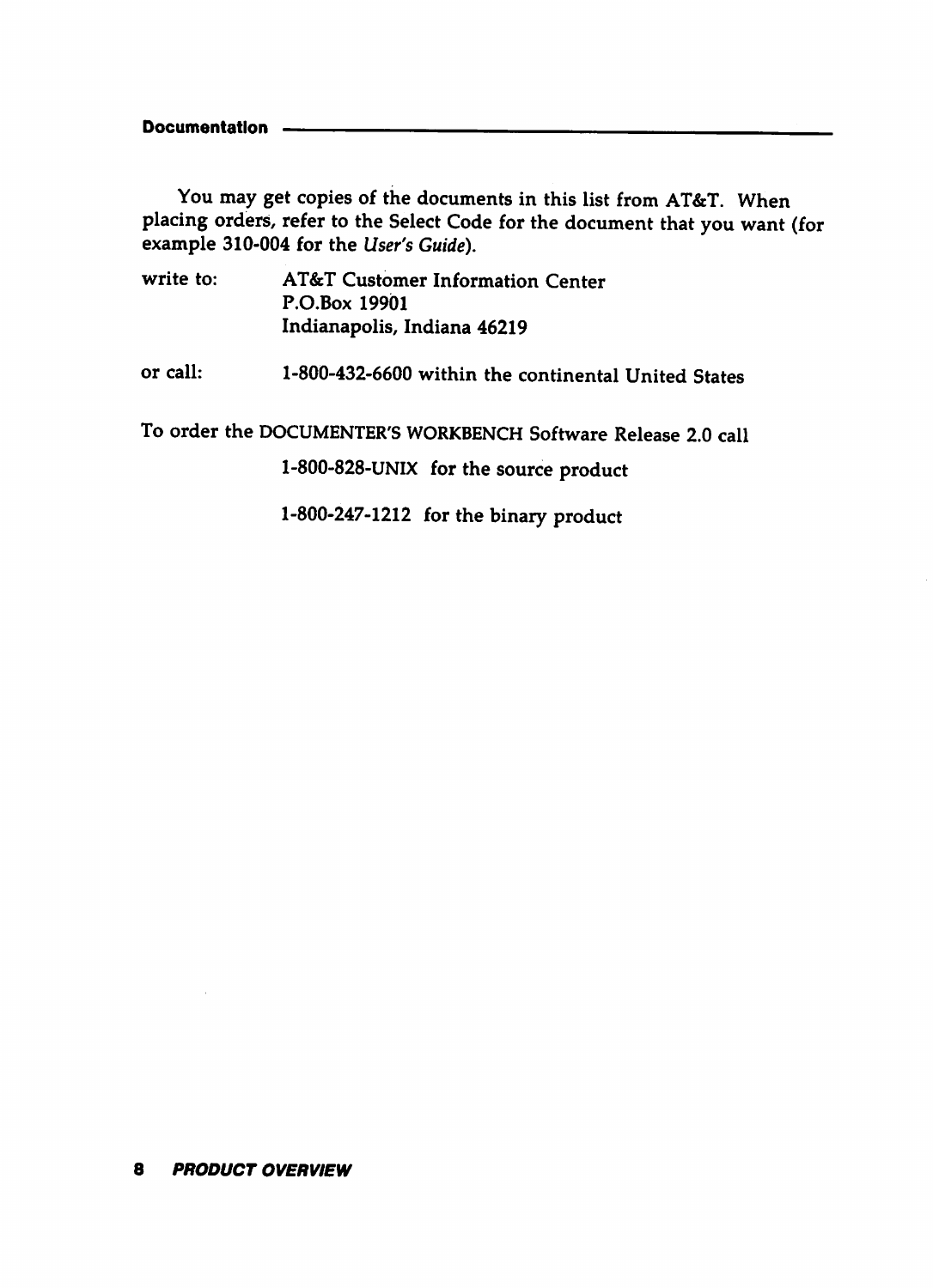**Documentation**

You may get copies of the documents in this list from AT&T. When placing orders, refer to the Select Code for the document that you want (for example 310-004 for the *User's Guide).*

write to: AT&T Customer Information Center P.O.Box 19901 Indianapolis, Indiana 46219

or call: 1-800-432-6600 within the continental United States

To order the DOCUMENTER'S WORKBENCH Software Release 2.0 call

1-800-828-UNIX for the source product

1-800-247-1212 for the binary product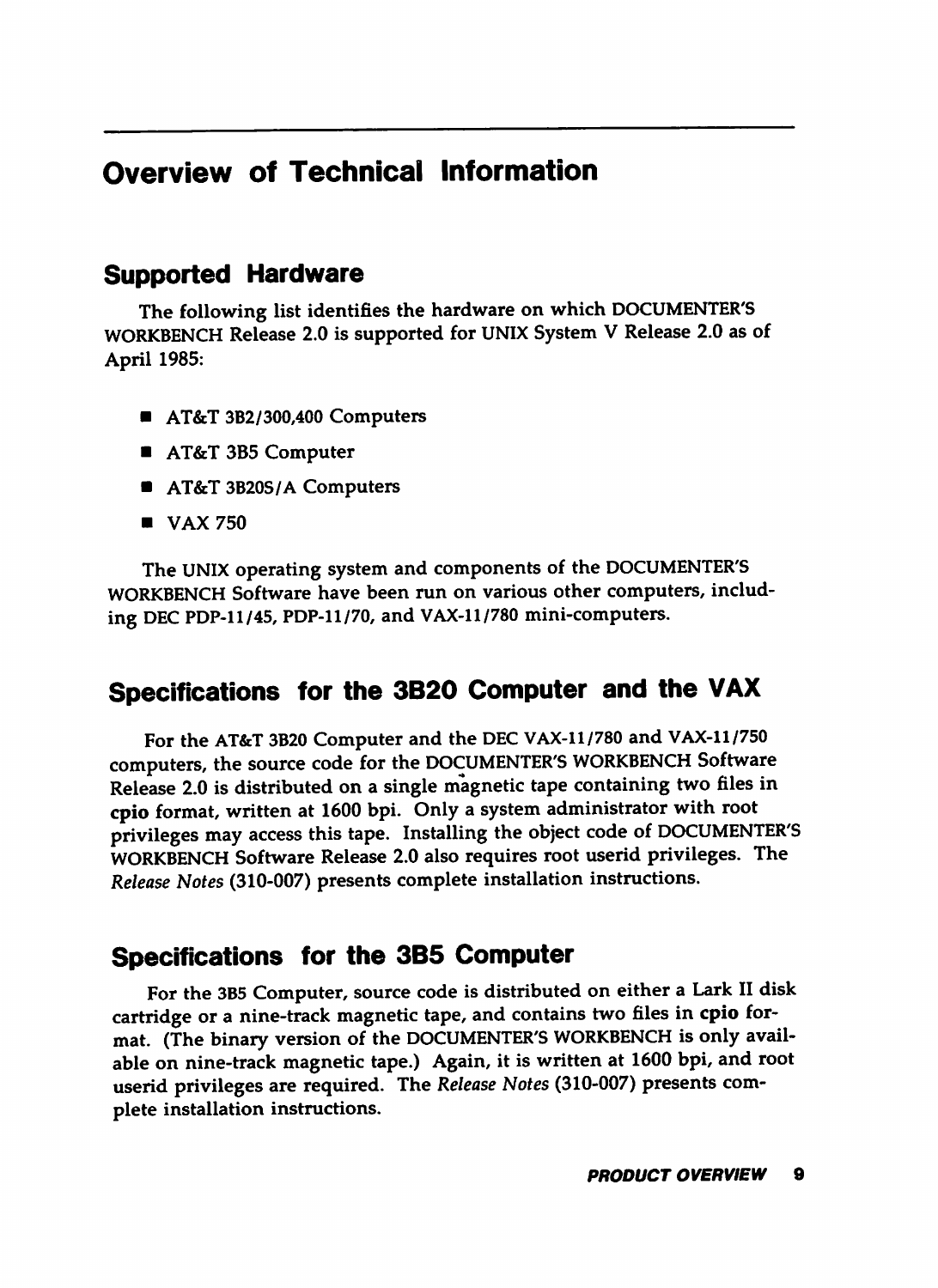### **Overview of Technical Information**

#### **Supported Hardware**

The following list identifies the hardware on which DOCUMENTER'S WORKBENCH Release 2.0 is supported for UNIX System V Release 2.0 as of April 1985:

- **AT&T 3B2/300,400 Computers**
- **AT&T 3B5 Computer**
- **AT&T 3B20S/A Computers**
- **VAX 750**

The UNIX operating system and components of the DOCUMENTER'S WORKBENCH Software have been run on various other computers, including DEC PDP-ll/45, PDP-ll/70, and VAX-ll/780 mini-computers.

### **Specifications for the 3820 Computer and the VAX**

For the AT&T 3B20 Computer and the DEC VAX-ll/780 and VAX-ll/750 computers, the source code for the DOCUMENTER'S WORKBENCH Software Release 2.0 is distributed on a single magnetic tape containing two files in cpio format, written at 1600 bpi. Only a system administrator with root privileges may access this tape. Installing the object code of DOCUMENTER'S WORKBENCH Software Release 2.0 also requires root userid privileges. The *Release Notes* (310-007) presents complete installation instructions.

#### **Specifications for the 385 Computer**

For the 3B5 Computer, source code is distributed on either a Lark II disk cartridge or a nine-track magnetic tape, and contains two files in cpio format. (The binary version of the DOCUMENTER'S WORKBENCH is only available on nine-track magnetic tape.) Again, it is written at 1600 bpi, and root userid privileges are required. The *Release Notes* (310-007) presents complete installation instructions.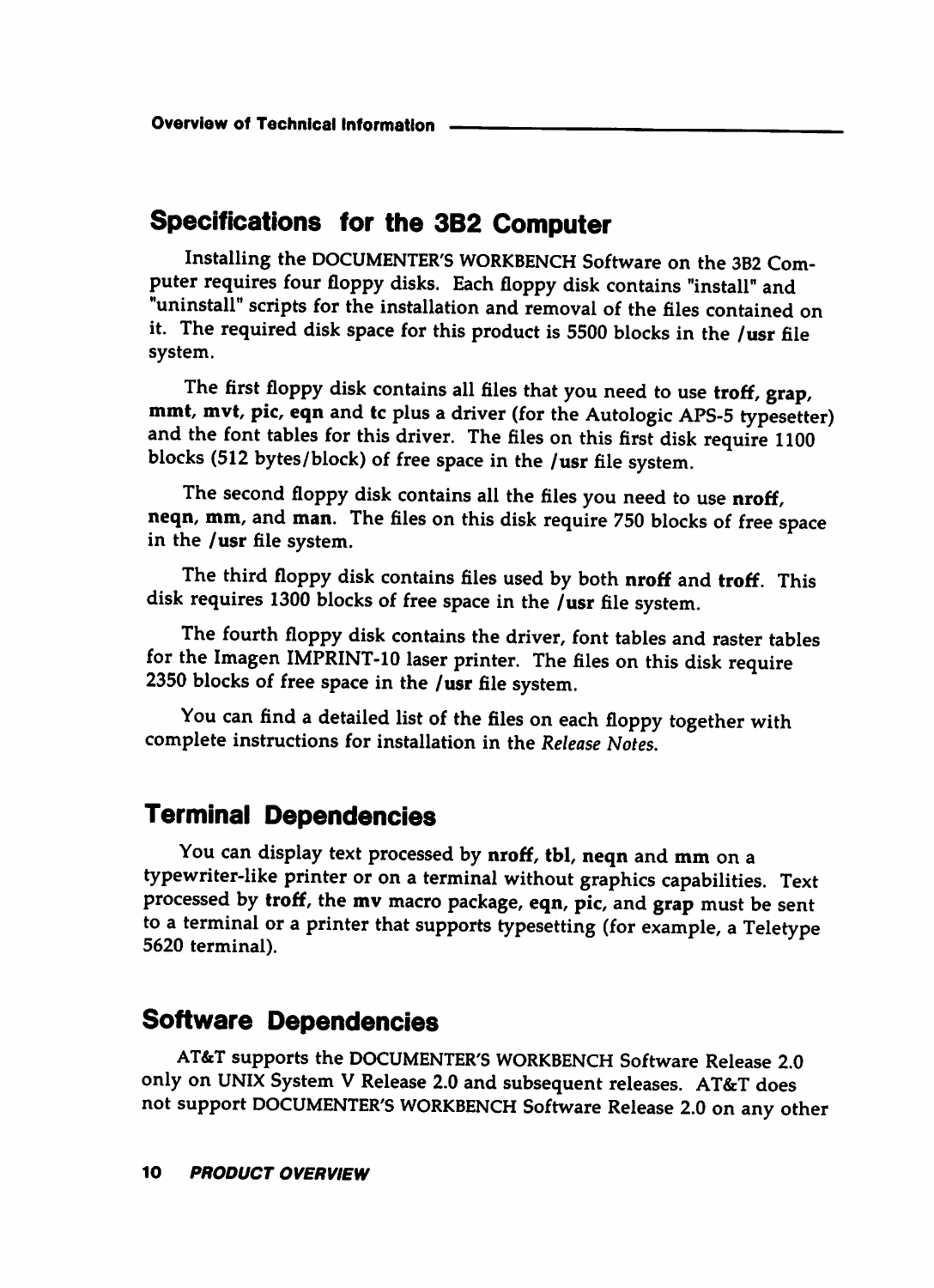### **Specifications for the 382 Computer**

Installing the DOCUMENTER'S WORKBENCH Software on the 3B2 Computer requires four floppy disks. Each floppy disk contains "install" and "uninstall" scripts for the installation and removal of the files contained on it. The required disk space for this product is 5500 blocks in the /usr file system.

The first floppy disk contains all files that you need to use troff, grap, mmt, mvt, pic, eqn and tc plus a driver (for the Autologic APS-5 typesetter) and the font tables for this driver. The files on this first disk require 1100 blocks (512 bytes/block) of free space in the /usr file system.

The second floppy disk contains all the files you need to use nroff, neqn, mm, and man. The files on this disk require 750 blocks of free space in the /usr file system.

The third floppy disk contains files used by both nroff and troff. This disk requires 1300 blocks of free space in the /usr file system.

The fourth floppy disk contains the driver, font tables and raster tables for the Imagen IMPRINT-I0 laser printer. The files on this disk require 2350 blocks of free space in the /usr file system.

You can find a detailed list of the files on each floppy together with complete instructions for installation in the *Release Notes.*

### **Terminal Dependencies**

You can display text processed by nroff, tbl, neqn and mm on a typewriter-like printer or on a terminal without graphics capabilities. Text processed by troff, the mv macro package, eqn, pic, and grap must be sent to a terminal or a printer that supports typesetting (for example, a Teletype 5620 terminal).

### **Software Dependencies**

AT&T supports the DOCUMENTER'S WORKBENCH Software Release 2.0 only on UNIX System V Release 2.0 and subsequent releases. AT&T does not support DOCUMENTER'S WORKBENCH Software Release 2.0 on any other